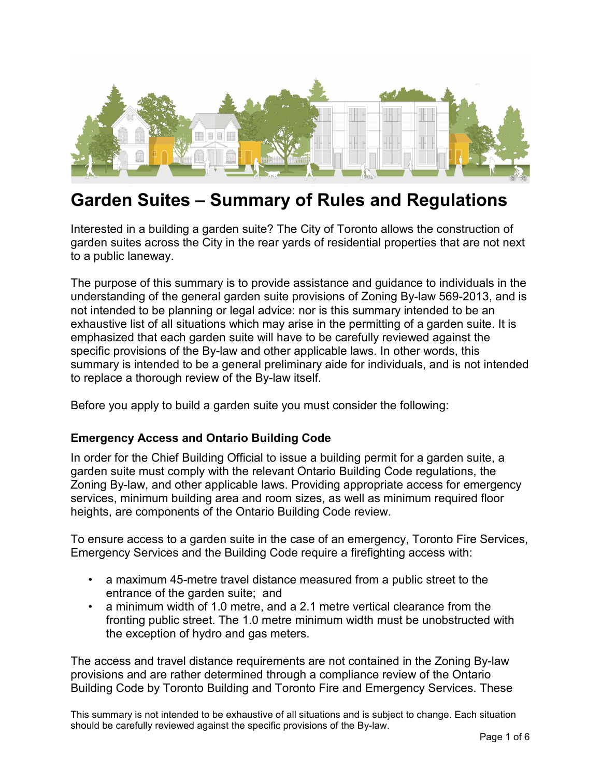

# **Garden Suites – Summary of Rules and Regulations**

Interested in a building a garden suite? The City of Toronto allows the construction of garden suites across the City in the rear yards of residential properties that are not next to a public laneway.

The purpose of this summary is to provide assistance and guidance to individuals in the understanding of the general garden suite provisions of Zoning By-law 569-2013, and is not intended to be planning or legal advice: nor is this summary intended to be an exhaustive list of all situations which may arise in the permitting of a garden suite. It is emphasized that each garden suite will have to be carefully reviewed against the specific provisions of the By-law and other applicable laws. In other words, this summary is intended to be a general preliminary aide for individuals, and is not intended to replace a thorough review of the By-law itself.

Before you apply to build a garden suite you must consider the following:

#### **Emergency Access and Ontario Building Code**

In order for the Chief Building Official to issue a building permit for a garden suite, a garden suite must comply with the relevant Ontario Building Code regulations, the Zoning By-law, and other applicable laws. Providing appropriate access for emergency services, minimum building area and room sizes, as well as minimum required floor heights, are components of the Ontario Building Code review.

To ensure access to a garden suite in the case of an emergency, Toronto Fire Services, Emergency Services and the Building Code require a firefighting access with:

- a maximum 45-metre travel distance measured from a public street to the entrance of the garden suite; and
- a minimum width of 1.0 metre, and a 2.1 metre vertical clearance from the fronting public street. The 1.0 metre minimum width must be unobstructed with the exception of hydro and gas meters.

The access and travel distance requirements are not contained in the Zoning By-law provisions and are rather determined through a compliance review of the Ontario Building Code by Toronto Building and Toronto Fire and Emergency Services. These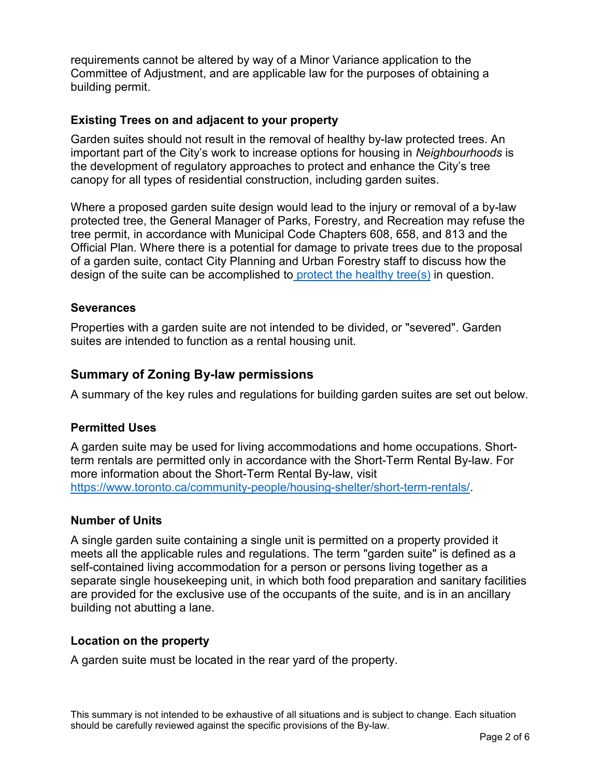requirements cannot be altered by way of a Minor Variance application to the Committee of Adjustment, and are applicable law for the purposes of obtaining a building permit.

### **Existing Trees on and adjacent to your property**

Garden suites should not result in the removal of healthy by-law protected trees. An important part of the City's work to increase options for housing in *Neighbourhoods* is the development of regulatory approaches to protect and enhance the City's tree canopy for all types of residential construction, including garden suites.

Where a proposed garden suite design would lead to the injury or removal of a by-law protected tree, the General Manager of Parks, Forestry, and Recreation may refuse the tree permit, in accordance with Municipal Code Chapters 608, 658, and 813 and the Official Plan. Where there is a potential for damage to private trees due to the proposal of a garden suite, contact City Planning and Urban Forestry staff to discuss how the design of the suite can be accomplished to [protect the healthy tree\(s\)](https://www.toronto.ca/services-payments/water-environment/trees/) in question.

#### **Severances**

Properties with a garden suite are not intended to be divided, or "severed". Garden suites are intended to function as a rental housing unit.

## **Summary of Zoning By-law permissions**

A summary of the key rules and regulations for building garden suites are set out below.

#### **Permitted Uses**

A garden suite may be used for living accommodations and home occupations. Shortterm rentals are permitted only in accordance with the Short-Term Rental By-law. For more information about the Short-Term Rental By-law, visit [https://www.toronto.ca/community-people/housing-shelter/short-term-rentals/.](https://www.toronto.ca/community-people/housing-shelter/short-term-rentals/)

#### **Number of Units**

A single garden suite containing a single unit is permitted on a property provided it meets all the applicable rules and regulations. The term "garden suite" is defined as a self-contained living accommodation for a person or persons living together as a separate single housekeeping unit, in which both food preparation and sanitary facilities are provided for the exclusive use of the occupants of the suite, and is in an ancillary building not abutting a lane.

#### **Location on the property**

A garden suite must be located in the rear yard of the property.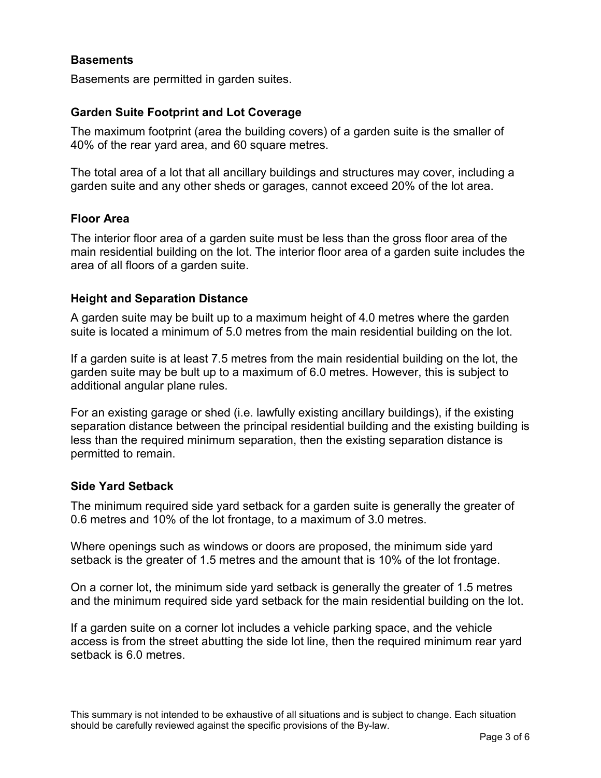#### **Basements**

Basements are permitted in garden suites.

### **Garden Suite Footprint and Lot Coverage**

The maximum footprint (area the building covers) of a garden suite is the smaller of 40% of the rear yard area, and 60 square metres.

The total area of a lot that all ancillary buildings and structures may cover, including a garden suite and any other sheds or garages, cannot exceed 20% of the lot area.

#### **Floor Area**

The interior floor area of a garden suite must be less than the gross floor area of the main residential building on the lot. The interior floor area of a garden suite includes the area of all floors of a garden suite.

## **Height and Separation Distance**

A garden suite may be built up to a maximum height of 4.0 metres where the garden suite is located a minimum of 5.0 metres from the main residential building on the lot.

If a garden suite is at least 7.5 metres from the main residential building on the lot, the garden suite may be bult up to a maximum of 6.0 metres. However, this is subject to additional angular plane rules.

For an existing garage or shed (i.e. lawfully existing ancillary buildings), if the existing separation distance between the principal residential building and the existing building is less than the required minimum separation, then the existing separation distance is permitted to remain.

#### **Side Yard Setback**

The minimum required side yard setback for a garden suite is generally the greater of 0.6 metres and 10% of the lot frontage, to a maximum of 3.0 metres.

Where openings such as windows or doors are proposed, the minimum side yard setback is the greater of 1.5 metres and the amount that is 10% of the lot frontage.

On a corner lot, the minimum side yard setback is generally the greater of 1.5 metres and the minimum required side yard setback for the main residential building on the lot.

If a garden suite on a corner lot includes a vehicle parking space, and the vehicle access is from the street abutting the side lot line, then the required minimum rear yard setback is 6.0 metres.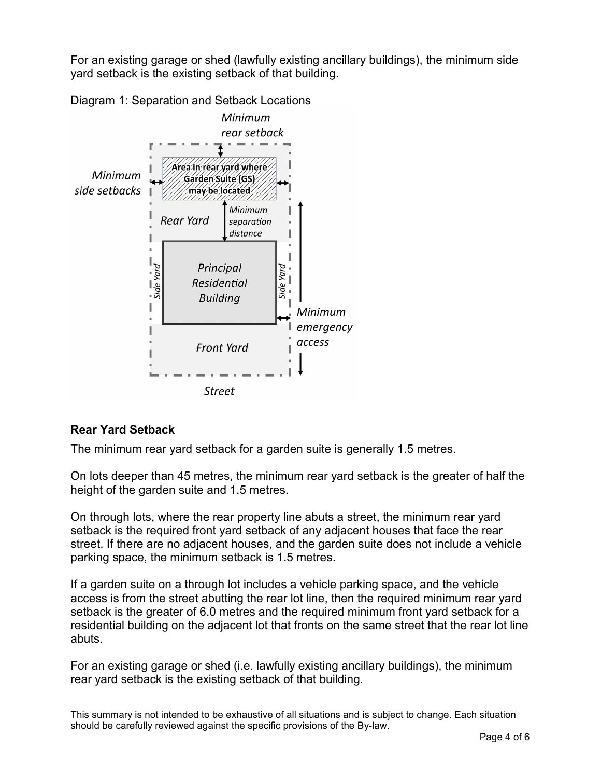For an existing garage or shed (lawfully existing ancillary buildings), the minimum side yard setback is the existing setback of that building.





#### **Rear Yard Setback**

The minimum rear yard setback for a garden suite is generally 1.5 metres.

On lots deeper than 45 metres, the minimum rear yard setback is the greater of half the height of the garden suite and 1.5 metres.

On through lots, where the rear property line abuts a street, the minimum rear yard setback is the required front yard setback of any adjacent houses that face the rear street. If there are no adjacent houses, and the garden suite does not include a vehicle parking space, the minimum setback is 1.5 metres.

If a garden suite on a through lot includes a vehicle parking space, and the vehicle access is from the street abutting the rear lot line, then the required minimum rear yard setback is the greater of 6.0 metres and the required minimum front yard setback for a residential building on the adjacent lot that fronts on the same street that the rear lot line abuts.

For an existing garage or shed (i.e. lawfully existing ancillary buildings), the minimum rear yard setback is the existing setback of that building.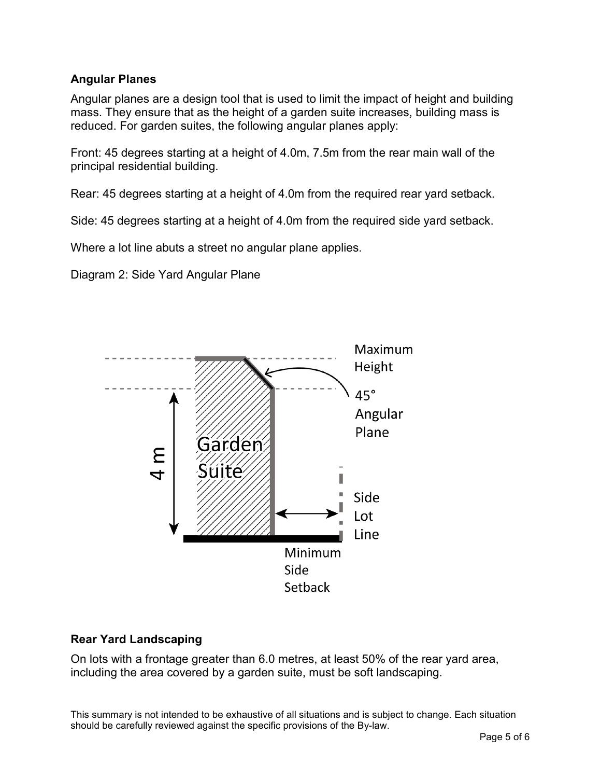## **Angular Planes**

Angular planes are a design tool that is used to limit the impact of height and building mass. They ensure that as the height of a garden suite increases, building mass is reduced. For garden suites, the following angular planes apply:

Front: 45 degrees starting at a height of 4.0m, 7.5m from the rear main wall of the principal residential building.

Rear: 45 degrees starting at a height of 4.0m from the required rear yard setback.

Side: 45 degrees starting at a height of 4.0m from the required side yard setback.

Where a lot line abuts a street no angular plane applies.

Diagram 2: Side Yard Angular Plane



#### **Rear Yard Landscaping**

On lots with a frontage greater than 6.0 metres, at least 50% of the rear yard area, including the area covered by a garden suite, must be soft landscaping.